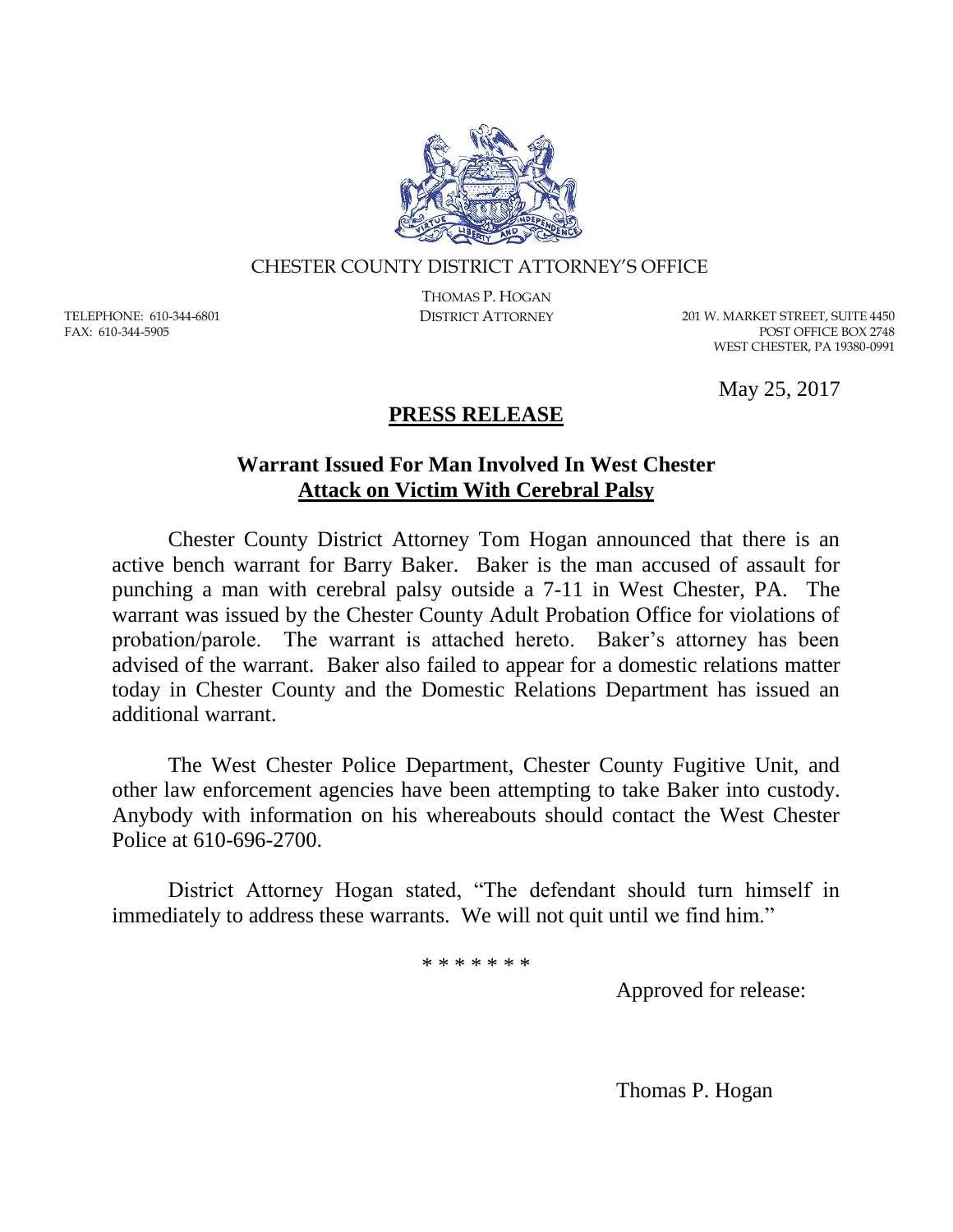

### CHESTER COUNTY DISTRICT ATTORNEY'S OFFICE

TELEPHONE: 610-344-6801 FAX: 610-344-5905

THOMAS P. HOGAN

DISTRICT ATTORNEY 201 W. MARKET STREET, SUITE 4450 POST OFFICE BOX 2748 WEST CHESTER, PA 19380-0991

May 25, 2017

## **PRESS RELEASE**

## **Warrant Issued For Man Involved In West Chester Attack on Victim With Cerebral Palsy**

Chester County District Attorney Tom Hogan announced that there is an active bench warrant for Barry Baker. Baker is the man accused of assault for punching a man with cerebral palsy outside a 7-11 in West Chester, PA. The warrant was issued by the Chester County Adult Probation Office for violations of probation/parole. The warrant is attached hereto. Baker's attorney has been advised of the warrant. Baker also failed to appear for a domestic relations matter today in Chester County and the Domestic Relations Department has issued an additional warrant.

The West Chester Police Department, Chester County Fugitive Unit, and other law enforcement agencies have been attempting to take Baker into custody. Anybody with information on his whereabouts should contact the West Chester Police at 610-696-2700.

District Attorney Hogan stated, "The defendant should turn himself in immediately to address these warrants. We will not quit until we find him."

\* \* \* \* \* \* \*

Approved for release:

Thomas P. Hogan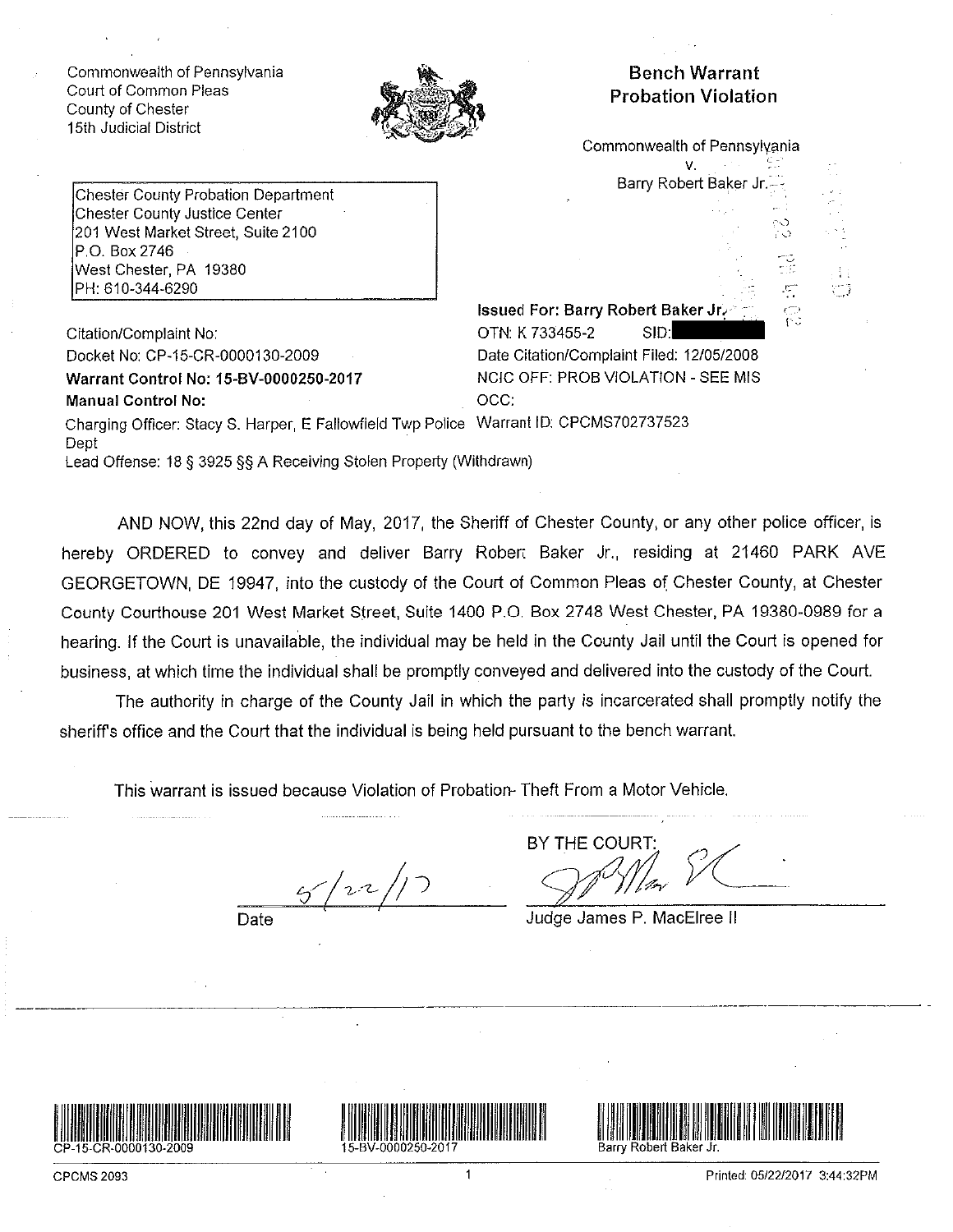Commonwealth of Pennsylvania Court of Common Pleas County of Chester 15th Judicial District



## **Bench Warrant Probation Violation**

Commonwealth of Pennsylvania v.

Barry Robert Baker Jr

**Chester County Probation Department** Chester County Justice Center 201 West Market Street, Suite 2100 P.O. Box 2746 West Chester, PA 19380 PH: 610-344-6290

Citation/Complaint No: Docket No: CP-15-CR-0000130-2009 Warrant Control No: 15-BV-0000250-2017 **Manual Control No:** 

Issued For: Barry Robert Baker Jr. OTN: K 733455-2 SID: Date Citation/Complaint Filed: 12/05/2008 NCIC OFF: PROB VIOLATION - SEE MIS OCC:

Charging Officer: Stacy S. Harper, E Fallowfield Twp Police Warrant ID: CPCMS702737523 Dept Lead Offense: 18 § 3925 §§ A Receiving Stolen Property (Withdrawn)

AND NOW, this 22nd day of May, 2017, the Sheriff of Chester County, or any other police officer, is hereby ORDERED to convey and deliver Barry Robert Baker Jr., residing at 21460 PARK AVE GEORGETOWN, DE 19947, into the custody of the Court of Common Pleas of Chester County, at Chester County Courthouse 201 West Market Street, Suite 1400 P.O. Box 2748 West Chester, PA 19380-0989 for a hearing. If the Court is unavailable, the individual may be held in the County Jail until the Court is opened for business, at which time the individual shall be promptly conveyed and delivered into the custody of the Court.

The authority in charge of the County Jail in which the party is incarcerated shall promptly notify the sheriff's office and the Court that the individual is being held pursuant to the bench warrant.

This warrant is issued because Violation of Probation-Theft From a Motor Vehicle.

Date

BY THE COURT

Judge James P. MacElree II





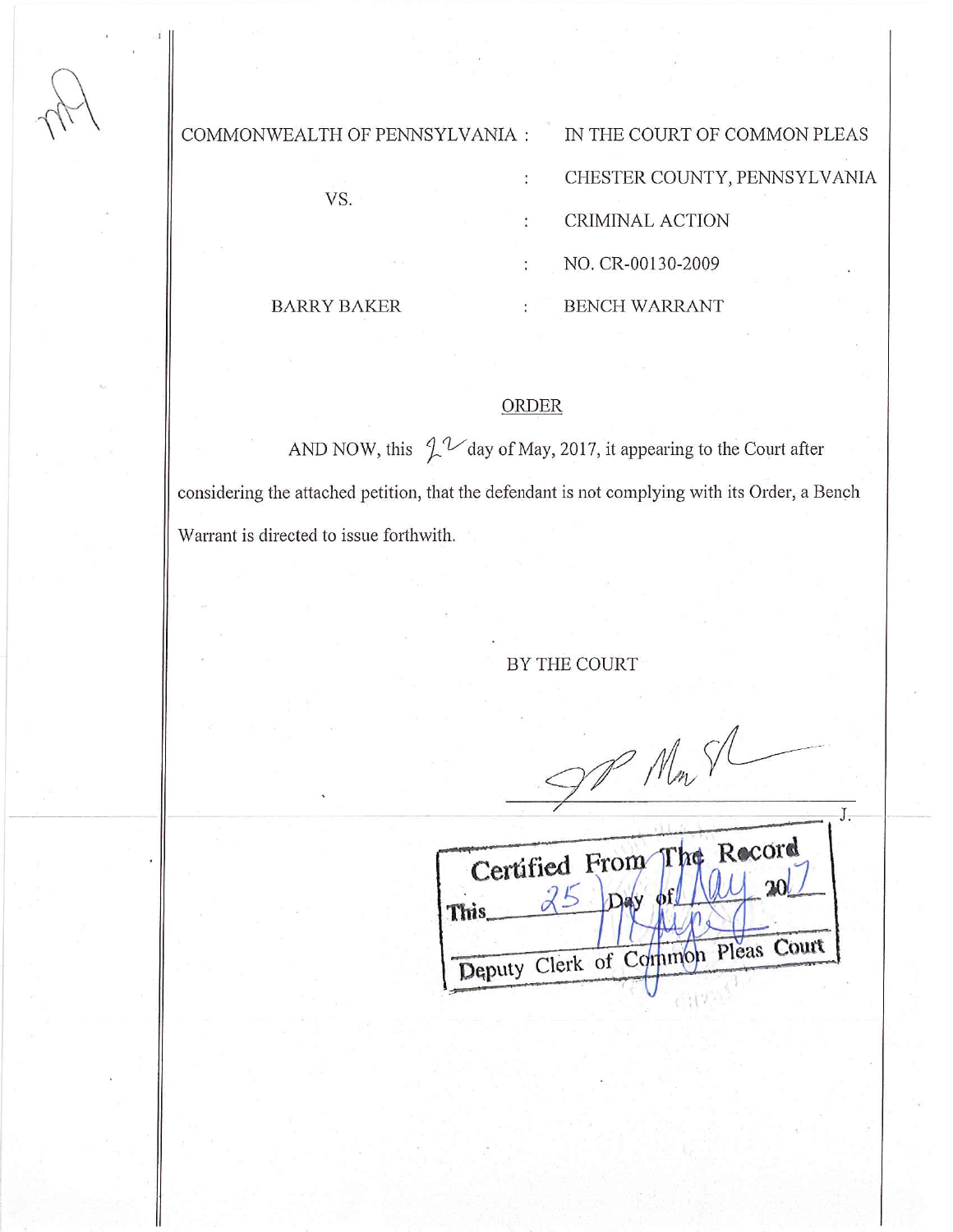#### COMMONWEALTH OF PENNSYLVANIA :

VS.

IN THE COURT OF COMMON PLEAS CHESTER COUNTY, PENNSYLVANIA

CRIMINAL ACTION

NO. CR-00130-2009

**BARRY BAKER** 

**BENCH WARRANT** ř

# **ORDER**

:

ŧ.

AND NOW, this  $\int_{0}^{1}$   $\mathcal{U}$  day of May, 2017, it appearing to the Court after considering the attached petition, that the defendant is not complying with its Order, a Bench Warrant is directed to issue forthwith.

#### BY THE COURT

DP Mm SL

|       |  | Certified From The Record          |  |
|-------|--|------------------------------------|--|
|       |  |                                    |  |
| This. |  |                                    |  |
|       |  |                                    |  |
|       |  | Deputy Clerk of Common Pleas Court |  |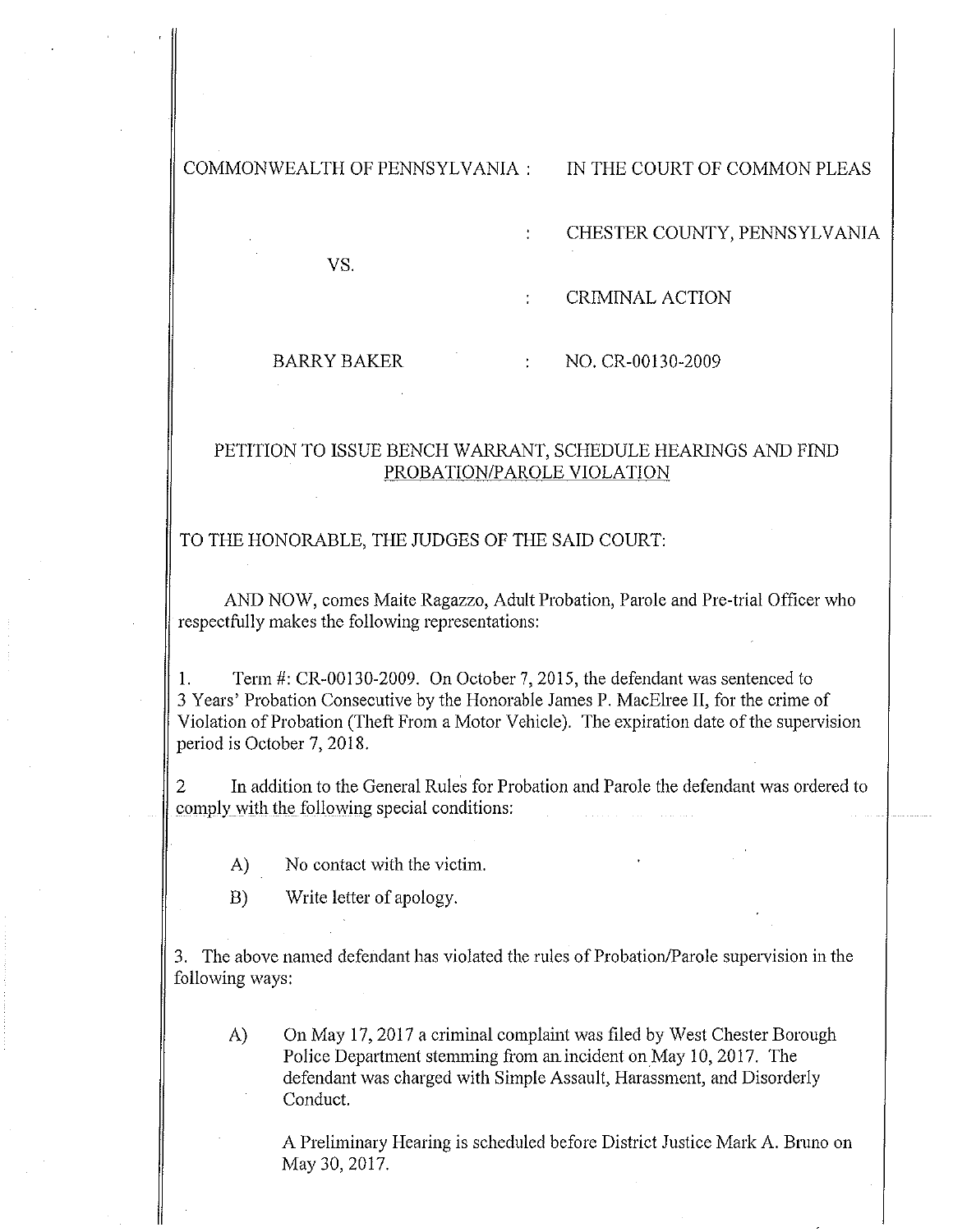COMMONWEALTH OF PENNSYLVANIA:

### IN THE COURT OF COMMON PLEAS

VS.

CHESTER COUNTY, PENNSYLVANIA

**CRIMINAL ACTION** 

#### **BARRY BAKER**

NO. CR-00130-2009

#### PETITION TO ISSUE BENCH WARRANT, SCHEDULE HEARINGS AND FIND PROBATION/PAROLE VIOLATION

 $\ddot{\cdot}$ 

#### TO THE HONORABLE, THE JUDGES OF THE SAID COURT:

AND NOW, comes Maite Ragazzo, Adult Probation, Parole and Pre-trial Officer who respectfully makes the following representations:

Term #: CR-00130-2009. On October 7, 2015, the defendant was sentenced to 1. 3 Years' Probation Consecutive by the Honorable James P. MacElree II, for the crime of Violation of Probation (Theft From a Motor Vehicle). The expiration date of the supervision period is October 7, 2018.

In addition to the General Rules for Probation and Parole the defendant was ordered to comply with the following special conditions:

- No contact with the victim. A)
- $B)$ Write letter of apology.

3. The above named defendant has violated the rules of Probation/Parole supervision in the following ways:

On May 17, 2017 a criminal complaint was filed by West Chester Borough A) Police Department stemming from an incident on May 10, 2017. The defendant was charged with Simple Assault, Harassment, and Disorderly Conduct.

A Preliminary Hearing is scheduled before District Justice Mark A. Bruno on May 30, 2017.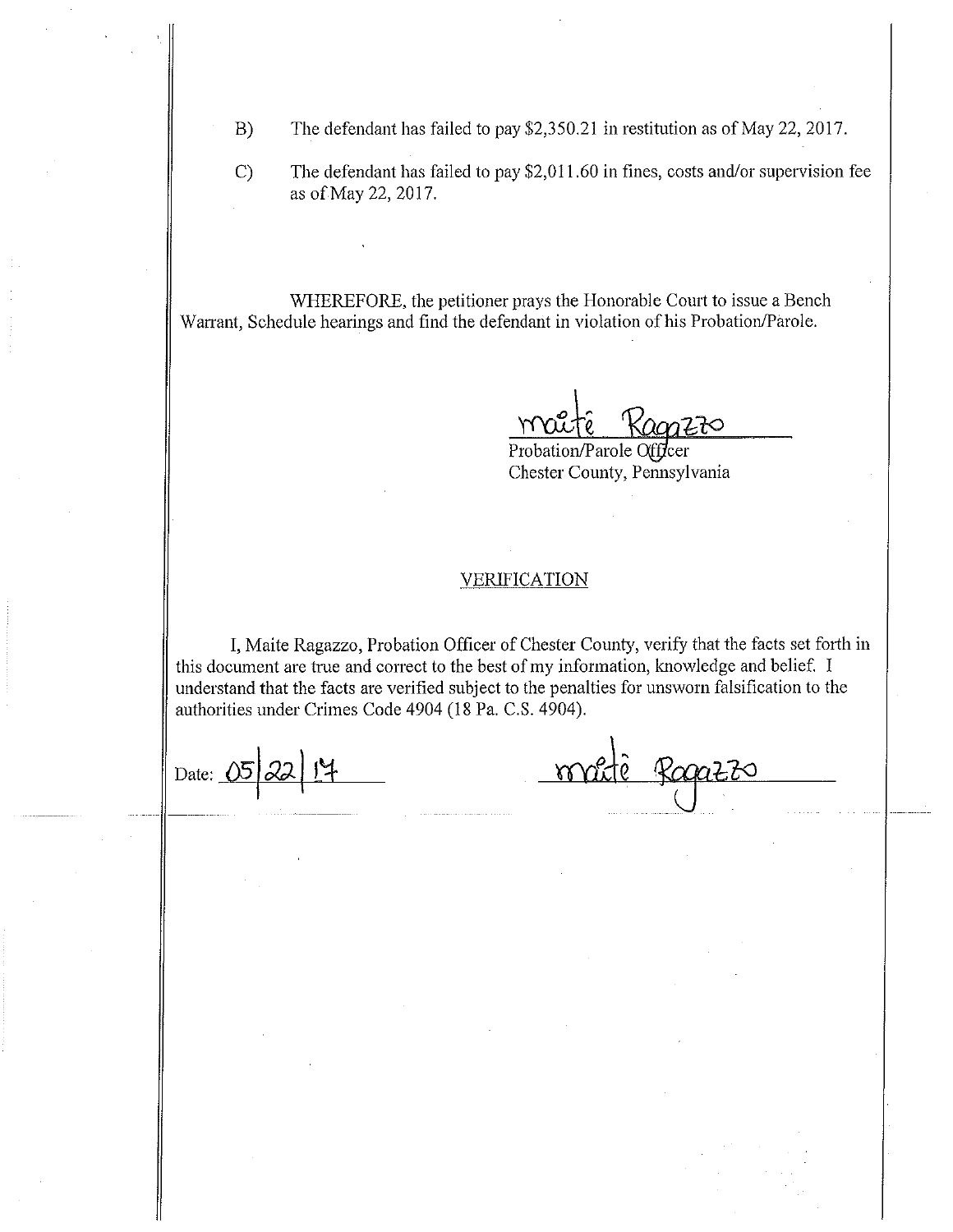- The defendant has failed to pay \$2,350.21 in restitution as of May 22, 2017.  $B)$
- $\mathcal{C}$ The defendant has failed to pay \$2,011.60 in fines, costs and/or supervision fee as of May 22, 2017.

WHEREFORE, the petitioner prays the Honorable Court to issue a Bench Warrant, Schedule hearings and find the defendant in violation of his Probation/Parole.

Probation/Parole Officer Chester County, Pennsylvania

#### <u>VERIFICATION</u>

I, Maite Ragazzo, Probation Officer of Chester County, verify that the facts set forth in this document are true and correct to the best of my information, knowledge and belief. I understand that the facts are verified subject to the penalties for unsworn falsification to the authorities under Crimes Code 4904 (18 Pa. C.S. 4904).

Date: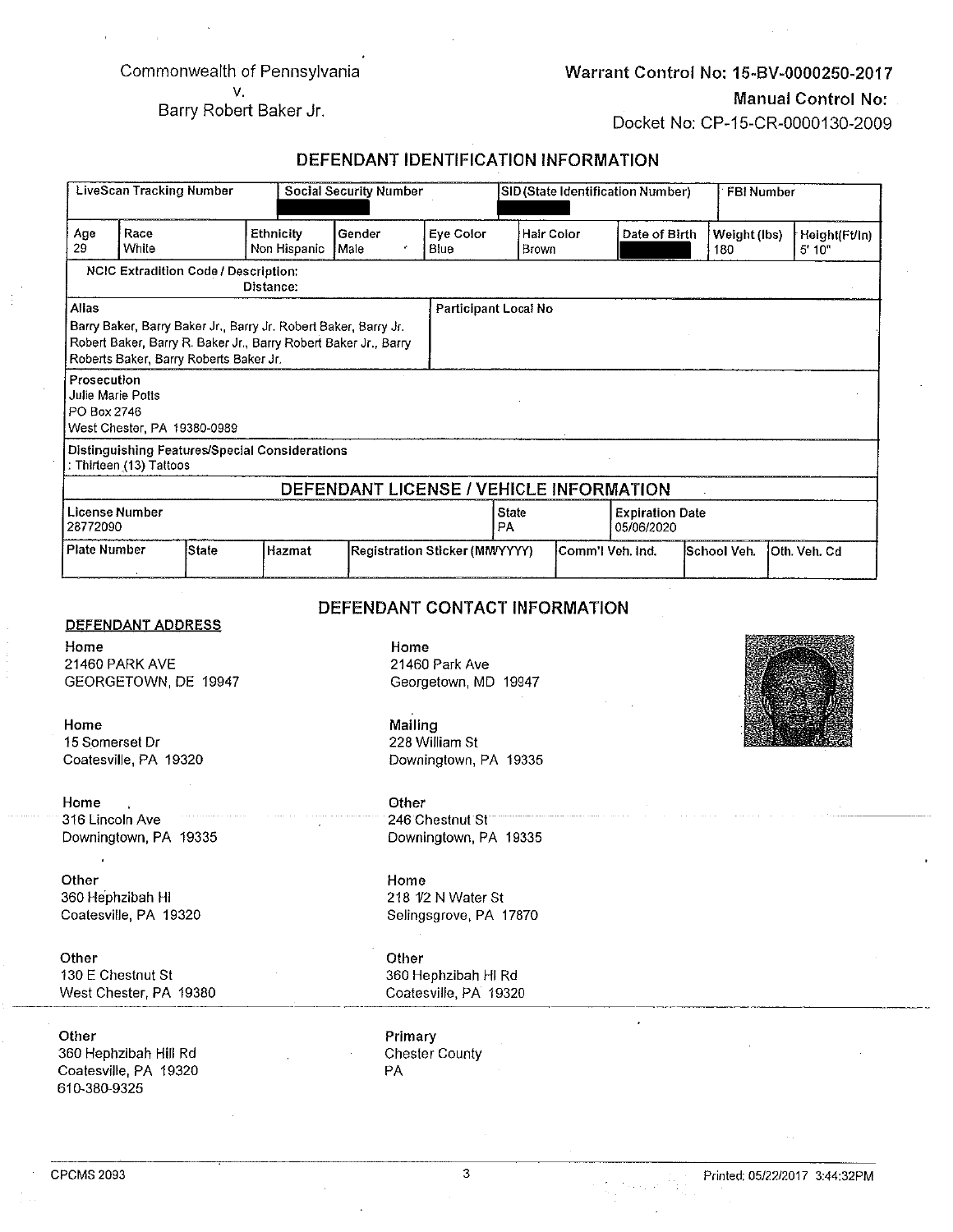#### Commonwealth of Pennsylvania V.

#### Warrant Control No: 15-BV-0000250-2017

#### **Manual Control No:**

Docket No: CP-15-CR-0000130-2009

Barry Robert Baker Jr.

## DEFENDANT IDENTIFICATION INFORMATION

| <b>LiveScan Tracking Number</b> |                                                                                                                              | <b>Social Security Number</b> |                                                                                                                                    |                                         | SID (State Identification Number)                                                                                             |                      |            |                                      | FBI Number  |              |                        |
|---------------------------------|------------------------------------------------------------------------------------------------------------------------------|-------------------------------|------------------------------------------------------------------------------------------------------------------------------------|-----------------------------------------|-------------------------------------------------------------------------------------------------------------------------------|----------------------|------------|--------------------------------------|-------------|--------------|------------------------|
| Age<br>29                       | Race<br>White                                                                                                                |                               | Ethnicity<br>Non Hispanic                                                                                                          | Gender<br>Male<br>×                     | Eye Color<br>Blue                                                                                                             | Brown                | Hair Color | Date of Birth                        | 180         | Weight (lbs) | Height(Ft/in)<br>5'10" |
|                                 | <b>NCIC Extradition Code / Description:</b>                                                                                  |                               | Distance:                                                                                                                          |                                         |                                                                                                                               |                      |            |                                      |             |              |                        |
| Allas                           | Roberts Baker, Barry Roberts Baker Jr.                                                                                       |                               | Barry Baker, Barry Baker Jr., Barry Jr. Robert Baker, Barry Jr.<br>Robert Baker, Barry R. Baker Jr., Barry Robert Baker Jr., Barry |                                         |                                                                                                                               | Participant Local No |            |                                      |             |              |                        |
| Prosecution<br>PO Box 2746      | Julie Marie Potts<br>West Chester, PA 19380-0989                                                                             |                               |                                                                                                                                    |                                         |                                                                                                                               |                      |            |                                      |             |              |                        |
|                                 | : Thirteen (13) Tattoos                                                                                                      |                               | Distinguishing Features/Special Considerations                                                                                     |                                         |                                                                                                                               |                      |            |                                      |             |              |                        |
|                                 |                                                                                                                              |                               |                                                                                                                                    | DEFENDANT LICENSE / VEHICLE INFORMATION |                                                                                                                               |                      |            |                                      |             |              |                        |
| 28772090                        | License Number                                                                                                               |                               |                                                                                                                                    |                                         | State<br>PA                                                                                                                   |                      |            | <b>Expiration Date</b><br>05/06/2020 |             |              |                        |
| <b>Plate Number</b>             |                                                                                                                              | <b>State</b>                  | Hazmat                                                                                                                             |                                         | Registration Sticker (MMYYYY)                                                                                                 |                      |            | Comm'l Veh. Ind.                     | School Veh. |              | Oth. Veh. Cd           |
| Home<br>Home<br>Home            | 21460 PARK AVE<br>GEORGETOWN DE 19947<br>15 Somerset Dr<br>Coatesville, PA 19320<br>316 Lincoln Ave<br>Downingtown, PA 19335 |                               |                                                                                                                                    | Home<br>Mailing<br>Other                | 21460 Park Ave<br>Georgetown, MD 19947<br>228 William St<br>Downingtown, PA 19335<br>246 Chestnut St<br>Downingtown, PA 19335 |                      |            |                                      |             |              |                        |
| Other<br>Other                  | 360 Hephzibah HI<br>Coatesville, PA 19320<br>130 E Chestnut St<br>West Chester, PA 19380                                     |                               |                                                                                                                                    | Home<br>Other                           | 218 1/2 N Water St<br>Selingsgrove, PA 17870<br>360 Hephzibah HI Rd<br>Coatesville, PA 19320                                  |                      |            |                                      |             |              |                        |
| Other<br>610-380-9325           | 360 Hephzibah Hill Rd<br>Coatesville, PA 19320                                                                               |                               |                                                                                                                                    | Primary<br>PA                           | <b>Chester County</b>                                                                                                         |                      |            |                                      |             |              |                        |

 $\overline{3}$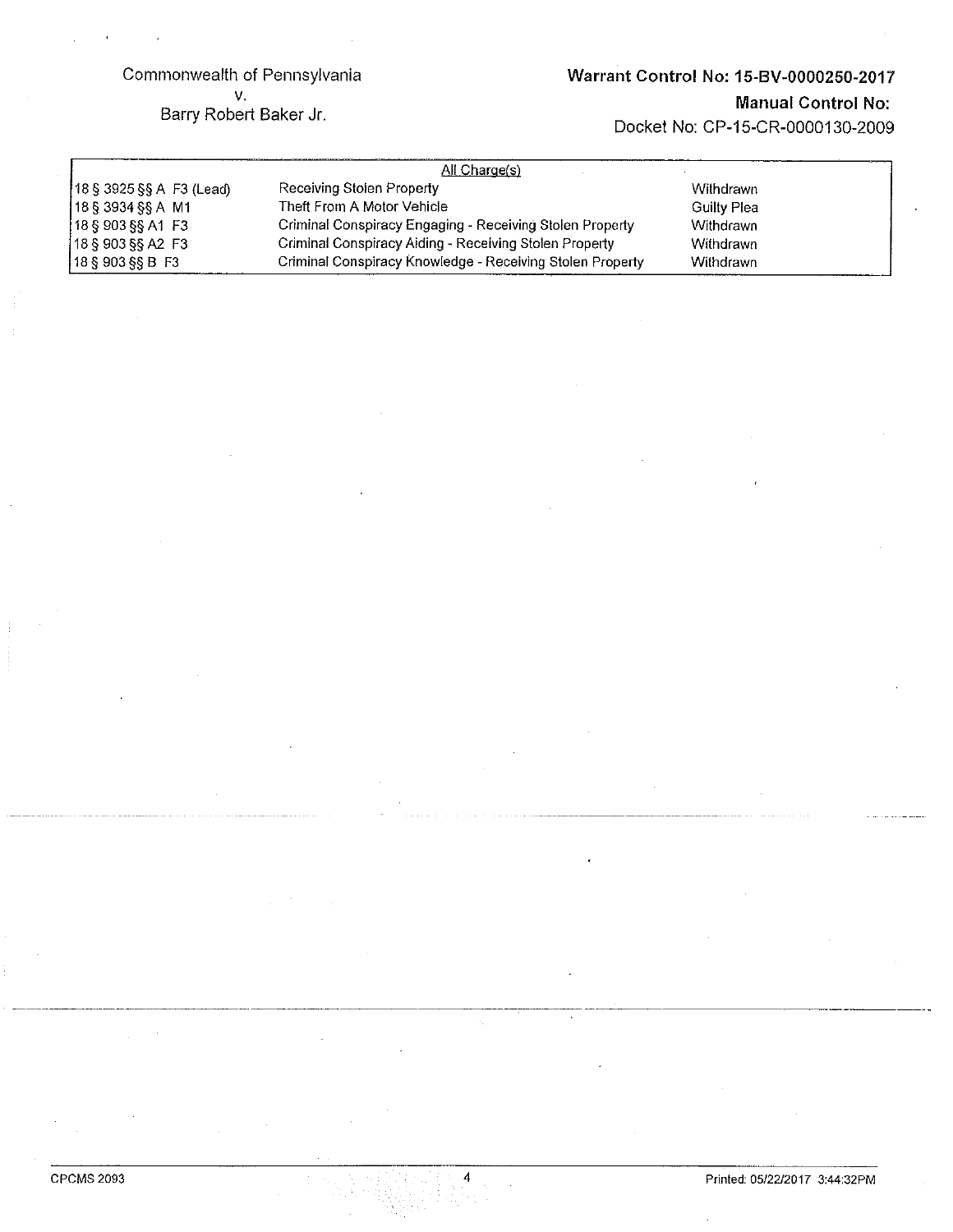#### Commonwealth of Pennsylvania v.

# Warrant Control No: 15-BV-0000250-2017

Barry Robert Baker Jr.

# **Manual Control No:**

Docket No: CP-15-CR-0000130-2009

| All Charge(s)            |                                                           |             |  |  |  |  |
|--------------------------|-----------------------------------------------------------|-------------|--|--|--|--|
| 18 § 3925 §§ A F3 (Lead) | Receiving Stolen Property                                 | Withdrawn   |  |  |  |  |
| $18$ § 3934 §§ A M1      | Theft From A Motor Vehicle                                | Guilty Plea |  |  |  |  |
| 18S903SSA1F3             | Criminal Conspiracy Engaging - Receiving Stolen Property  | Withdrawn   |  |  |  |  |
| $18$ § 903 §§ A2 F3      | Criminal Conspiracy Aiding - Receiving Stolen Property    | Withdrawn   |  |  |  |  |
| $18 \S 903 \S 8 B F3$    | Criminal Conspiracy Knowledge - Receiving Stolen Property | Withdrawn   |  |  |  |  |

 $\overline{4}$